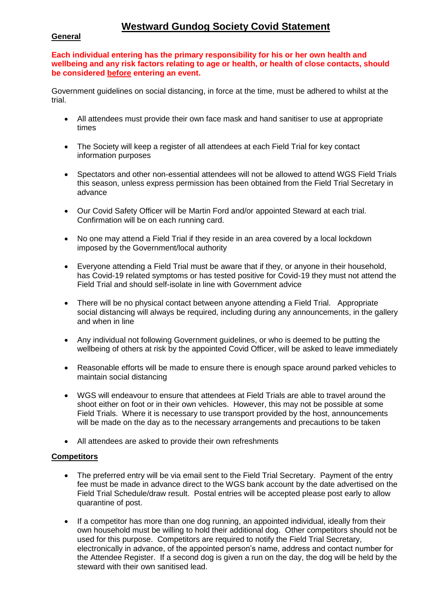# **Westward Gundog Society Covid Statement**

## **General**

**Each individual entering has the primary responsibility for his or her own health and wellbeing and any risk factors relating to age or health, or health of close contacts, should be considered before entering an event.**

Government guidelines on social distancing, in force at the time, must be adhered to whilst at the trial.

- All attendees must provide their own face mask and hand sanitiser to use at appropriate times
- The Society will keep a register of all attendees at each Field Trial for key contact information purposes
- Spectators and other non-essential attendees will not be allowed to attend WGS Field Trials this season, unless express permission has been obtained from the Field Trial Secretary in advance
- Our Covid Safety Officer will be Martin Ford and/or appointed Steward at each trial. Confirmation will be on each running card.
- No one may attend a Field Trial if they reside in an area covered by a local lockdown imposed by the Government/local authority
- Everyone attending a Field Trial must be aware that if they, or anyone in their household, has Covid-19 related symptoms or has tested positive for Covid-19 they must not attend the Field Trial and should self-isolate in line with Government advice
- There will be no physical contact between anyone attending a Field Trial. Appropriate social distancing will always be required, including during any announcements, in the gallery and when in line
- Any individual not following Government guidelines, or who is deemed to be putting the wellbeing of others at risk by the appointed Covid Officer, will be asked to leave immediately
- Reasonable efforts will be made to ensure there is enough space around parked vehicles to maintain social distancing
- WGS will endeavour to ensure that attendees at Field Trials are able to travel around the shoot either on foot or in their own vehicles. However, this may not be possible at some Field Trials. Where it is necessary to use transport provided by the host, announcements will be made on the day as to the necessary arrangements and precautions to be taken
- All attendees are asked to provide their own refreshments

### **Competitors**

- The preferred entry will be via email sent to the Field Trial Secretary. Payment of the entry fee must be made in advance direct to the WGS bank account by the date advertised on the Field Trial Schedule/draw result. Postal entries will be accepted please post early to allow quarantine of post.
- If a competitor has more than one dog running, an appointed individual, ideally from their own household must be willing to hold their additional dog. Other competitors should not be used for this purpose. Competitors are required to notify the Field Trial Secretary, electronically in advance, of the appointed person's name, address and contact number for the Attendee Register. If a second dog is given a run on the day, the dog will be held by the steward with their own sanitised lead.